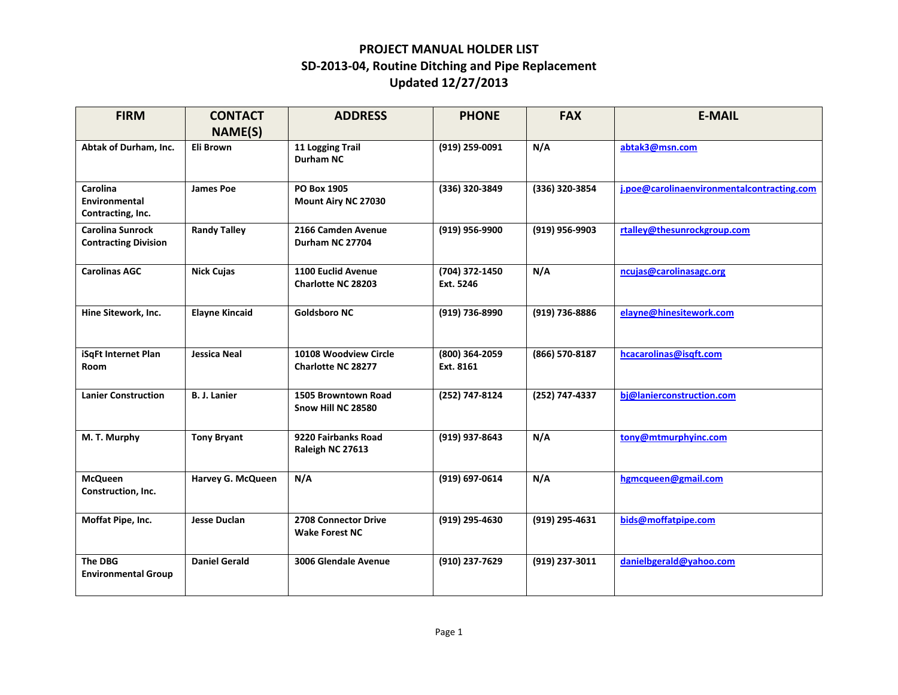## **PROJECT MANUAL HOLDER LIST SD‐2013‐04, Routine Ditching and Pipe Replacement Updated 12/27/2013**

| <b>FIRM</b>                                            | <b>CONTACT</b>        | <b>ADDRESS</b>                                     | <b>PHONE</b>                | <b>FAX</b>     | <b>E-MAIL</b>                              |
|--------------------------------------------------------|-----------------------|----------------------------------------------------|-----------------------------|----------------|--------------------------------------------|
|                                                        | <b>NAME(S)</b>        |                                                    |                             |                |                                            |
| Abtak of Durham, Inc.                                  | Eli Brown             | 11 Logging Trail<br>Durham NC                      | (919) 259-0091              | N/A            | abtak3@msn.com                             |
| Carolina<br>Environmental<br>Contracting, Inc.         | <b>James Poe</b>      | PO Box 1905<br>Mount Airy NC 27030                 | (336) 320-3849              | (336) 320-3854 | j.poe@carolinaenvironmentalcontracting.com |
| <b>Carolina Sunrock</b><br><b>Contracting Division</b> | <b>Randy Talley</b>   | 2166 Camden Avenue<br>Durham NC 27704              | (919) 956-9900              | (919) 956-9903 | rtalley@thesunrockgroup.com                |
| <b>Carolinas AGC</b>                                   | <b>Nick Cujas</b>     | 1100 Euclid Avenue<br><b>Charlotte NC 28203</b>    | (704) 372-1450<br>Ext. 5246 | N/A            | ncujas@carolinasagc.org                    |
| Hine Sitework, Inc.                                    | <b>Elayne Kincaid</b> | <b>Goldsboro NC</b>                                | (919) 736-8990              | (919) 736-8886 | elayne@hinesitework.com                    |
| iSqFt Internet Plan<br><b>Room</b>                     | <b>Jessica Neal</b>   | 10108 Woodview Circle<br><b>Charlotte NC 28277</b> | (800) 364-2059<br>Ext. 8161 | (866) 570-8187 | hcacarolinas@isqft.com                     |
| <b>Lanier Construction</b>                             | <b>B. J. Lanier</b>   | 1505 Browntown Road<br>Snow Hill NC 28580          | (252) 747-8124              | (252) 747-4337 | bi@lanierconstruction.com                  |
| M. T. Murphy                                           | <b>Tony Bryant</b>    | 9220 Fairbanks Road<br>Raleigh NC 27613            | (919) 937-8643              | N/A            | tony@mtmurphyinc.com                       |
| <b>McQueen</b><br>Construction, Inc.                   | Harvey G. McQueen     | N/A                                                | (919) 697-0614              | N/A            | hgmcqueen@gmail.com                        |
| Moffat Pipe, Inc.                                      | <b>Jesse Duclan</b>   | 2708 Connector Drive<br><b>Wake Forest NC</b>      | (919) 295-4630              | (919) 295-4631 | bids@moffatpipe.com                        |
| <b>The DBG</b><br><b>Environmental Group</b>           | <b>Daniel Gerald</b>  | 3006 Glendale Avenue                               | (910) 237-7629              | (919) 237-3011 | danielbgerald@yahoo.com                    |